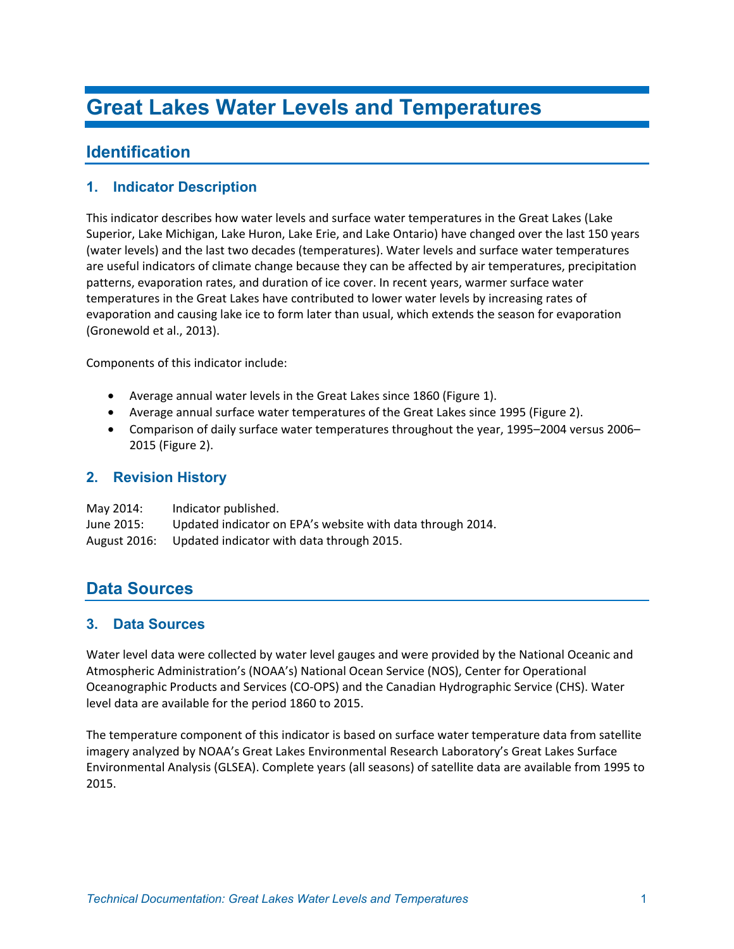# **Identification**

## **1. Indicator Description**

This indicator describes how water levels and surface water temperatures in the Great Lakes (Lake Superior, Lake Michigan, Lake Huron, Lake Erie, and Lake Ontario) have changed over the last 150 years (water levels) and the last two decades (temperatures). Water levels and surface water temperatures are useful indicators of climate change because they can be affected by air temperatures, precipitation patterns, evaporation rates, and duration of ice cover. In recent years, warmer surface water temperatures in the Great Lakes have contributed to lower water levels by increasing rates of evaporation and causing lake ice to form later than usual, which extends the season for evaporation (Gronewold et al., 2013).

Components of this indicator include:

- Average annual water levels in the Great Lakes since 1860 (Figure 1).
- Average annual surface water temperatures of the Great Lakes since 1995 (Figure 2).
- Comparison of daily surface water temperatures throughout the year, 1995–2004 versus 2006– 2015 (Figure 2).

### **2. Revision History**

| May 2014:    | Indicator published.                                       |
|--------------|------------------------------------------------------------|
| June 2015:   | Updated indicator on EPA's website with data through 2014. |
| August 2016: | Updated indicator with data through 2015.                  |

# **Data Sources**

### **3. Data Sources**

Water level data were collected by water level gauges and were provided by the National Oceanic and Atmospheric Administration's (NOAA's) National Ocean Service (NOS), Center for Operational Oceanographic Products and Services (CO-OPS) and the Canadian Hydrographic Service (CHS). Water level data are available for the period 1860 to 2015.

The temperature component of this indicator is based on surface water temperature data from satellite imagery analyzed by NOAA's Great Lakes Environmental Research Laboratory's Great Lakes Surface Environmental Analysis (GLSEA). Complete years (all seasons) of satellite data are available from 1995 to 2015.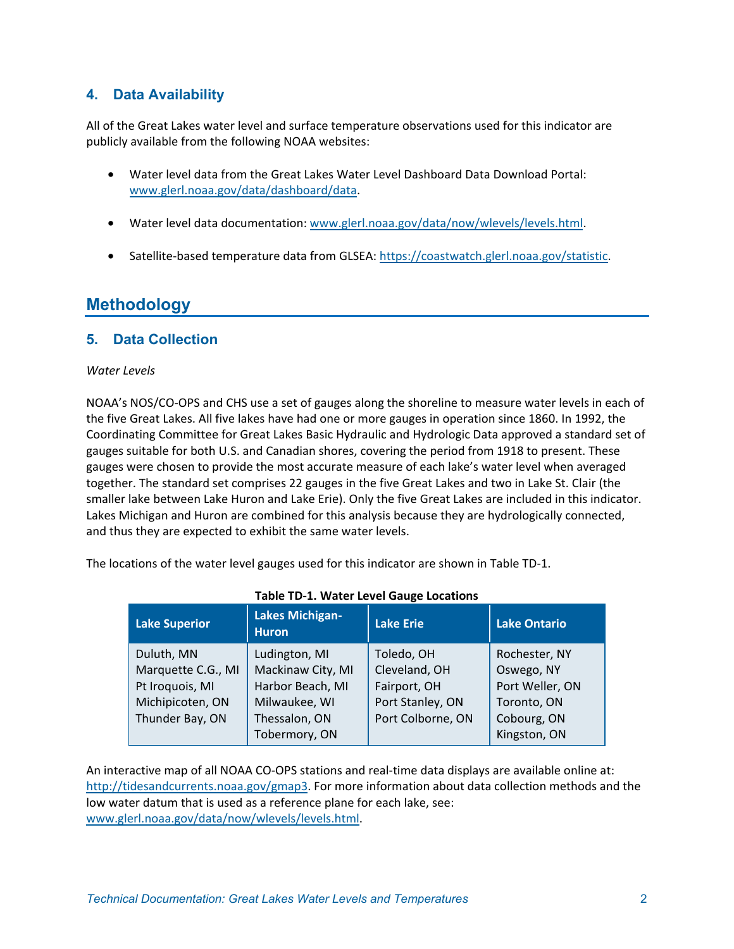## **4. Data Availability**

All of the Great Lakes water level and surface temperature observations used for this indicator are publicly available from the following NOAA websites:

- Water level data from the Great Lakes Water Level Dashboard Data Download Portal: [www.glerl.noaa.gov/data/dashboard/data.](http://www.glerl.noaa.gov/data/dashboard/data)
- Water level data documentation[: www.glerl.noaa.gov/data/now/wlevels/levels.html.](http://www.glerl.noaa.gov/data/now/wlevels/levels.html)
- Satellite-based temperature data from GLSEA: [https://coastwatch.glerl.noaa.gov/statistic.](https://coastwatch.glerl.noaa.gov/statistic)

# **Methodology**

### **5. Data Collection**

#### *Water Levels*

NOAA's NOS/CO-OPS and CHS use a set of gauges along the shoreline to measure water levels in each of the five Great Lakes. All five lakes have had one or more gauges in operation since 1860. In 1992, the Coordinating Committee for Great Lakes Basic Hydraulic and Hydrologic Data approved a standard set of gauges suitable for both U.S. and Canadian shores, covering the period from 1918 to present. These gauges were chosen to provide the most accurate measure of each lake's water level when averaged together. The standard set comprises 22 gauges in the five Great Lakes and two in Lake St. Clair (the smaller lake between Lake Huron and Lake Erie). Only the five Great Lakes are included in this indicator. Lakes Michigan and Huron are combined for this analysis because they are hydrologically connected, and thus they are expected to exhibit the same water levels.

The locations of the water level gauges used for this indicator are shown in Table TD-1.

| <b>Lake Superior</b> | <b>Lakes Michigan-</b><br><b>Huron</b> | <b>Lake Erie</b>  | <b>Lake Ontario</b> |
|----------------------|----------------------------------------|-------------------|---------------------|
| Duluth, MN           | Ludington, MI                          | Toledo, OH        | Rochester, NY       |
| Marquette C.G., MI   | Mackinaw City, MI                      | Cleveland, OH     | Oswego, NY          |
| Pt Iroquois, MI      | Harbor Beach, MI                       | Fairport, OH      | Port Weller, ON     |
| Michipicoten, ON     | Milwaukee, WI                          | Port Stanley, ON  | Toronto, ON         |
| Thunder Bay, ON      | Thessalon, ON                          | Port Colborne, ON | Cobourg, ON         |
|                      | Tobermory, ON                          |                   | Kingston, ON        |

#### **Table TD-1. Water Level Gauge Locations**

An interactive map of all NOAA CO-OPS stations and real-time data displays are available online at: [http://tidesandcurrents.noaa.gov/gmap3.](http://tidesandcurrents.noaa.gov/gmap3/) For more information about data collection methods and the low water datum that is used as a reference plane for each lake, see: [www.glerl.noaa.gov/data/now/wlevels/levels.html.](http://www.glerl.noaa.gov/data/now/wlevels/levels.html)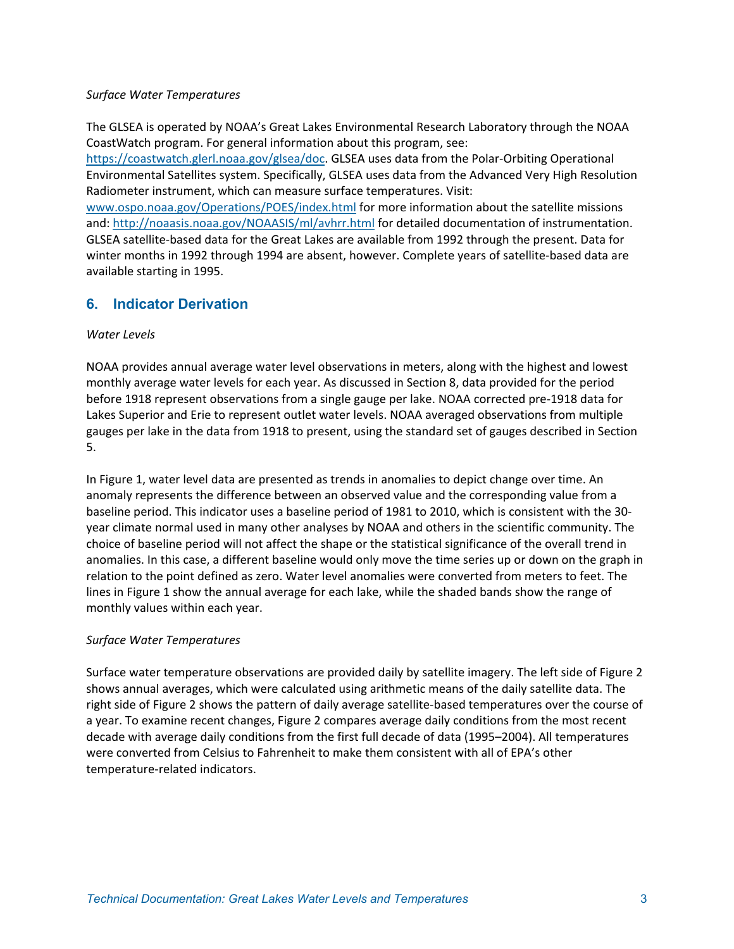#### *Surface Water Temperatures*

The GLSEA is operated by NOAA's Great Lakes Environmental Research Laboratory through the NOAA CoastWatch program. For general information about this program, see:

[https://coastwatch.glerl.noaa.gov/glsea/doc.](https://coastwatch.glerl.noaa.gov/glsea/doc/) GLSEA uses data from the Polar-Orbiting Operational Environmental Satellites system. Specifically, GLSEA uses data from the Advanced Very High Resolution Radiometer instrument, which can measure surface temperatures. Visit:

[www.ospo.noaa.gov/Operations/POES/index.html](http://www.ospo.noaa.gov/Operations/POES/index.html) for more information about the satellite missions and:<http://noaasis.noaa.gov/NOAASIS/ml/avhrr.html> for detailed documentation of instrumentation. GLSEA satellite-based data for the Great Lakes are available from 1992 through the present. Data for winter months in 1992 through 1994 are absent, however. Complete years of satellite-based data are available starting in 1995.

### **6. Indicator Derivation**

#### *Water Levels*

NOAA provides annual average water level observations in meters, along with the highest and lowest monthly average water levels for each year. As discussed in Section 8, data provided for the period before 1918 represent observations from a single gauge per lake. NOAA corrected pre-1918 data for Lakes Superior and Erie to represent outlet water levels. NOAA averaged observations from multiple gauges per lake in the data from 1918 to present, using the standard set of gauges described in Section 5.

In Figure 1, water level data are presented as trends in anomalies to depict change over time. An anomaly represents the difference between an observed value and the corresponding value from a baseline period. This indicator uses a baseline period of 1981 to 2010, which is consistent with the 30 year climate normal used in many other analyses by NOAA and others in the scientific community. The choice of baseline period will not affect the shape or the statistical significance of the overall trend in anomalies. In this case, a different baseline would only move the time series up or down on the graph in relation to the point defined as zero. Water level anomalies were converted from meters to feet. The lines in Figure 1 show the annual average for each lake, while the shaded bands show the range of monthly values within each year.

### *Surface Water Temperatures*

Surface water temperature observations are provided daily by satellite imagery. The left side of Figure 2 shows annual averages, which were calculated using arithmetic means of the daily satellite data. The right side of Figure 2 shows the pattern of daily average satellite-based temperatures over the course of a year. To examine recent changes, Figure 2 compares average daily conditions from the most recent decade with average daily conditions from the first full decade of data (1995–2004). All temperatures were converted from Celsius to Fahrenheit to make them consistent with all of EPA's other temperature-related indicators.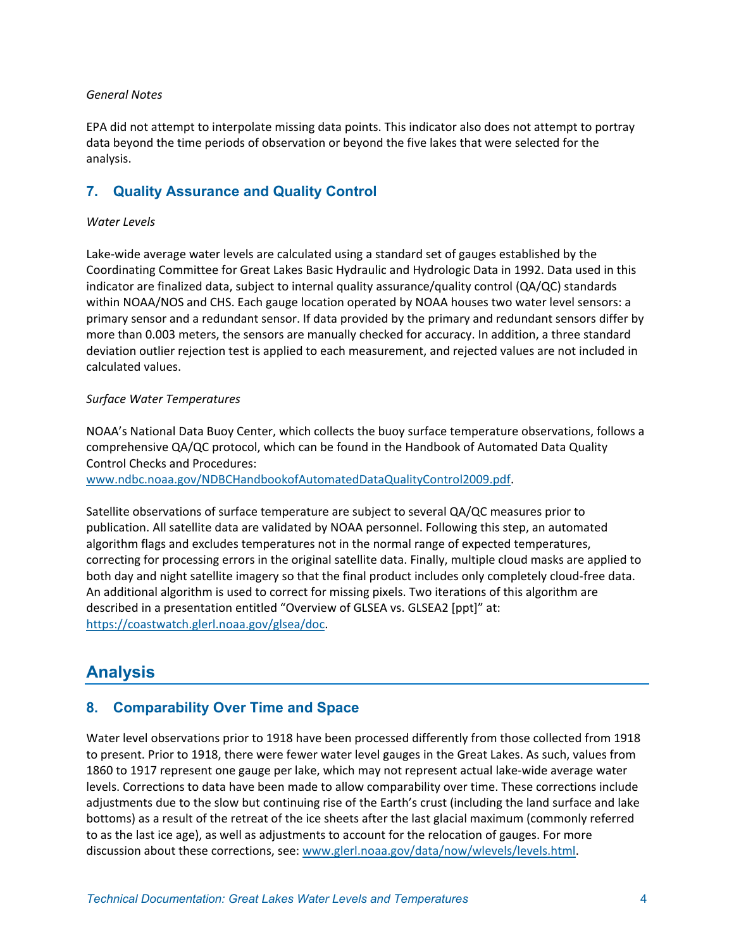#### *General Notes*

EPA did not attempt to interpolate missing data points. This indicator also does not attempt to portray data beyond the time periods of observation or beyond the five lakes that were selected for the analysis.

## **7. Quality Assurance and Quality Control**

#### *Water Levels*

Lake-wide average water levels are calculated using a standard set of gauges established by the Coordinating Committee for Great Lakes Basic Hydraulic and Hydrologic Data in 1992. Data used in this indicator are finalized data, subject to internal quality assurance/quality control (QA/QC) standards within NOAA/NOS and CHS. Each gauge location operated by NOAA houses two water level sensors: a primary sensor and a redundant sensor. If data provided by the primary and redundant sensors differ by more than 0.003 meters, the sensors are manually checked for accuracy. In addition, a three standard deviation outlier rejection test is applied to each measurement, and rejected values are not included in calculated values.

#### *Surface Water Temperatures*

NOAA's National Data Buoy Center, which collects the buoy surface temperature observations, follows a comprehensive QA/QC protocol, which can be found in the Handbook of Automated Data Quality Control Checks and Procedures:

[www.ndbc.noaa.gov/NDBCHandbookofAutomatedDataQualityControl2009.pdf.](http://www.ndbc.noaa.gov/NDBCHandbookofAutomatedDataQualityControl2009.pdf)

Satellite observations of surface temperature are subject to several QA/QC measures prior to publication. All satellite data are validated by NOAA personnel. Following this step, an automated algorithm flags and excludes temperatures not in the normal range of expected temperatures, correcting for processing errors in the original satellite data. Finally, multiple cloud masks are applied to both day and night satellite imagery so that the final product includes only completely cloud-free data. An additional algorithm is used to correct for missing pixels. Two iterations of this algorithm are described in a presentation entitled "Overview of GLSEA vs. GLSEA2 [ppt]" at: [https://coastwatch.glerl.noaa.gov/glsea/doc.](https://coastwatch.glerl.noaa.gov/glsea/doc/)

# **Analysis**

## **8. Comparability Over Time and Space**

Water level observations prior to 1918 have been processed differently from those collected from 1918 to present. Prior to 1918, there were fewer water level gauges in the Great Lakes. As such, values from 1860 to 1917 represent one gauge per lake, which may not represent actual lake-wide average water levels. Corrections to data have been made to allow comparability over time. These corrections include adjustments due to the slow but continuing rise of the Earth's crust (including the land surface and lake bottoms) as a result of the retreat of the ice sheets after the last glacial maximum (commonly referred to as the last ice age), as well as adjustments to account for the relocation of gauges. For more discussion about these corrections, see: [www.glerl.noaa.gov/data/now/wlevels/levels.html.](http://www.glerl.noaa.gov/data/now/wlevels/levels.html)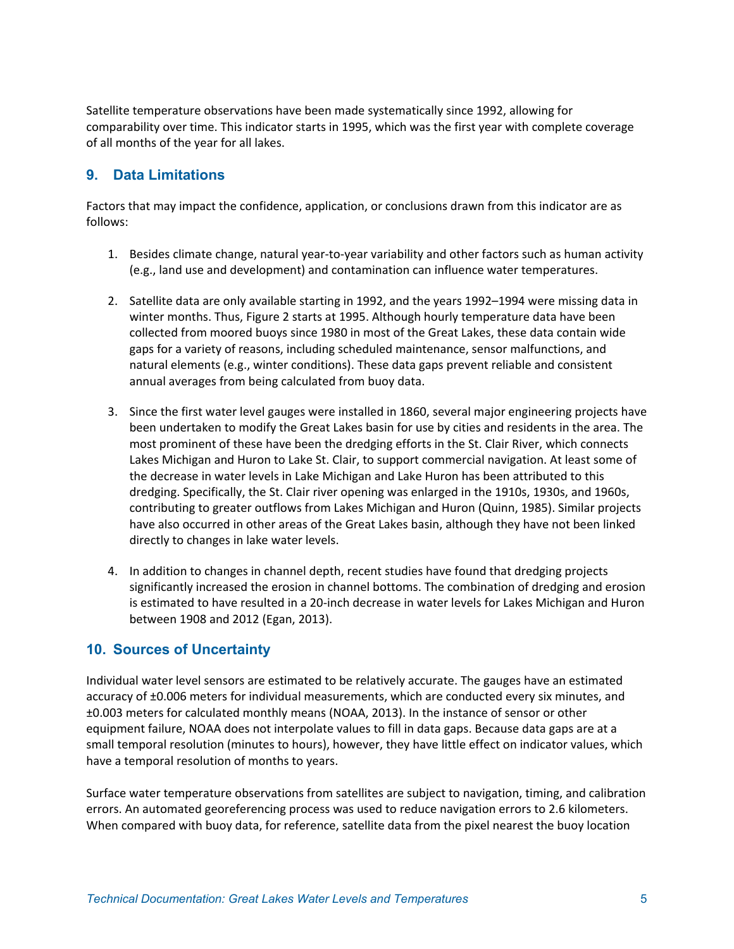Satellite temperature observations have been made systematically since 1992, allowing for comparability over time. This indicator starts in 1995, which was the first year with complete coverage of all months of the year for all lakes.

### **9. Data Limitations**

Factors that may impact the confidence, application, or conclusions drawn from this indicator are as follows:

- 1. Besides climate change, natural year-to-year variability and other factors such as human activity (e.g., land use and development) and contamination can influence water temperatures.
- 2. Satellite data are only available starting in 1992, and the years 1992–1994 were missing data in winter months. Thus, Figure 2 starts at 1995. Although hourly temperature data have been collected from moored buoys since 1980 in most of the Great Lakes, these data contain wide gaps for a variety of reasons, including scheduled maintenance, sensor malfunctions, and natural elements (e.g., winter conditions). These data gaps prevent reliable and consistent annual averages from being calculated from buoy data.
- 3. Since the first water level gauges were installed in 1860, several major engineering projects have been undertaken to modify the Great Lakes basin for use by cities and residents in the area. The most prominent of these have been the dredging efforts in the St. Clair River, which connects Lakes Michigan and Huron to Lake St. Clair, to support commercial navigation. At least some of the decrease in water levels in Lake Michigan and Lake Huron has been attributed to this dredging. Specifically, the St. Clair river opening was enlarged in the 1910s, 1930s, and 1960s, contributing to greater outflows from Lakes Michigan and Huron (Quinn, 1985). Similar projects have also occurred in other areas of the Great Lakes basin, although they have not been linked directly to changes in lake water levels.
- 4. In addition to changes in channel depth, recent studies have found that dredging projects significantly increased the erosion in channel bottoms. The combination of dredging and erosion is estimated to have resulted in a 20-inch decrease in water levels for Lakes Michigan and Huron between 1908 and 2012 (Egan, 2013).

### **10. Sources of Uncertainty**

Individual water level sensors are estimated to be relatively accurate. The gauges have an estimated accuracy of ±0.006 meters for individual measurements, which are conducted every six minutes, and ±0.003 meters for calculated monthly means (NOAA, 2013). In the instance of sensor or other equipment failure, NOAA does not interpolate values to fill in data gaps. Because data gaps are at a small temporal resolution (minutes to hours), however, they have little effect on indicator values, which have a temporal resolution of months to years.

Surface water temperature observations from satellites are subject to navigation, timing, and calibration errors. An automated georeferencing process was used to reduce navigation errors to 2.6 kilometers. When compared with buoy data, for reference, satellite data from the pixel nearest the buoy location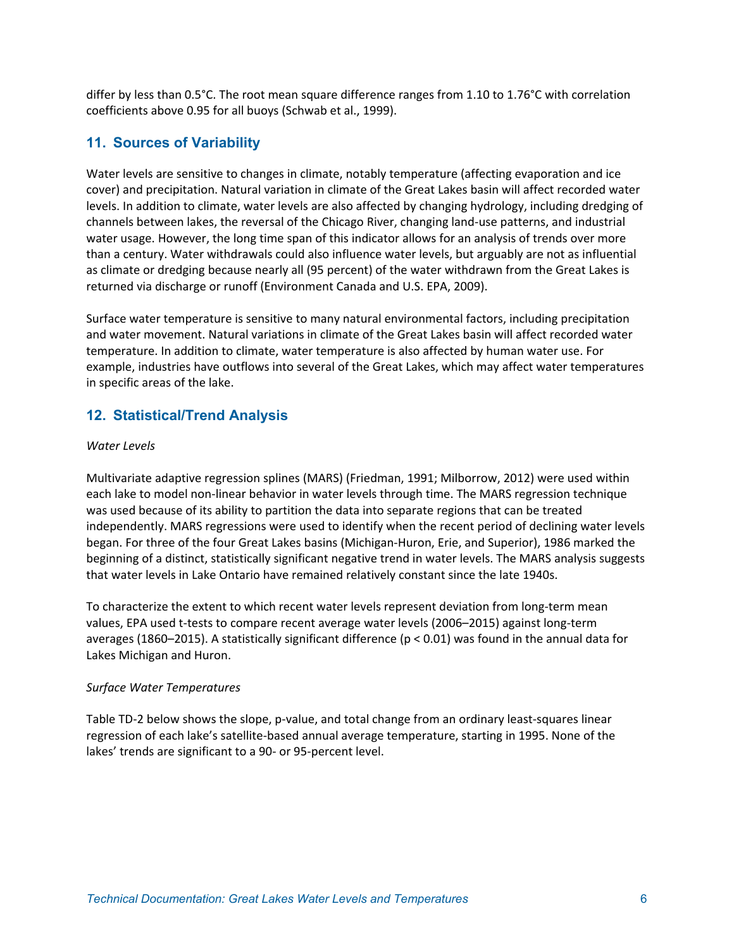differ by less than 0.5°C. The root mean square difference ranges from 1.10 to 1.76°C with correlation coefficients above 0.95 for all buoys (Schwab et al., 1999).

### **11. Sources of Variability**

Water levels are sensitive to changes in climate, notably temperature (affecting evaporation and ice cover) and precipitation. Natural variation in climate of the Great Lakes basin will affect recorded water levels. In addition to climate, water levels are also affected by changing hydrology, including dredging of channels between lakes, the reversal of the Chicago River, changing land-use patterns, and industrial water usage. However, the long time span of this indicator allows for an analysis of trends over more than a century. Water withdrawals could also influence water levels, but arguably are not as influential as climate or dredging because nearly all (95 percent) of the water withdrawn from the Great Lakes is returned via discharge or runoff (Environment Canada and U.S. EPA, 2009).

Surface water temperature is sensitive to many natural environmental factors, including precipitation and water movement. Natural variations in climate of the Great Lakes basin will affect recorded water temperature. In addition to climate, water temperature is also affected by human water use. For example, industries have outflows into several of the Great Lakes, which may affect water temperatures in specific areas of the lake.

### **12. Statistical/Trend Analysis**

#### *Water Levels*

Multivariate adaptive regression splines (MARS) (Friedman, 1991; Milborrow, 2012) were used within each lake to model non-linear behavior in water levels through time. The MARS regression technique was used because of its ability to partition the data into separate regions that can be treated independently. MARS regressions were used to identify when the recent period of declining water levels began. For three of the four Great Lakes basins (Michigan-Huron, Erie, and Superior), 1986 marked the beginning of a distinct, statistically significant negative trend in water levels. The MARS analysis suggests that water levels in Lake Ontario have remained relatively constant since the late 1940s.

To characterize the extent to which recent water levels represent deviation from long-term mean values, EPA used t-tests to compare recent average water levels (2006–2015) against long-term averages (1860–2015). A statistically significant difference (p < 0.01) was found in the annual data for Lakes Michigan and Huron.

#### *Surface Water Temperatures*

Table TD-2 below shows the slope, p-value, and total change from an ordinary least-squares linear regression of each lake's satellite-based annual average temperature, starting in 1995. None of the lakes' trends are significant to a 90- or 95-percent level.